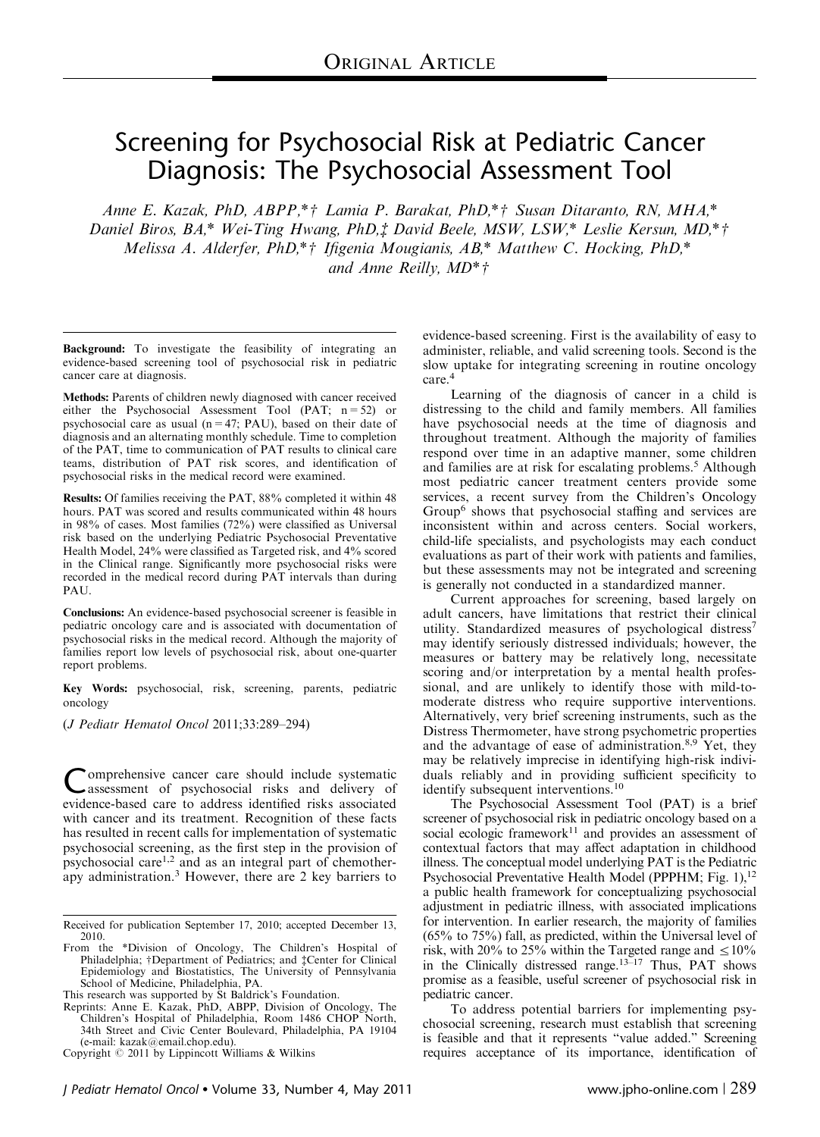# Screening for Psychosocial Risk at Pediatric Cancer Diagnosis: The Psychosocial Assessment Tool

Anne E. Kazak, PhD, ABPP,\*† Lamia P. Barakat, PhD,\*† Susan Ditaranto, RN, MHA,\* Daniel Biros, BA,\* Wei-Ting Hwang, PhD, $\ddagger$  David Beele, MSW, LSW,\* Leslie Kersun, MD,\* $\ddagger$ Melissa A. Alderfer, PhD,\*† Ifigenia Mougianis,  $AB$ ,\* Matthew C. Hocking, PhD,\* and Anne Reilly,  $MD*$ †

Background: To investigate the feasibility of integrating an evidence-based screening tool of psychosocial risk in pediatric cancer care at diagnosis.

Methods: Parents of children newly diagnosed with cancer received either the Psychosocial Assessment Tool (PAT; n=52) or psychosocial care as usual  $(n=47; PAU)$ , based on their date of diagnosis and an alternating monthly schedule. Time to completion of the PAT, time to communication of PAT results to clinical care teams, distribution of PAT risk scores, and identification of psychosocial risks in the medical record were examined.

Results: Of families receiving the PAT, 88% completed it within 48 hours. PAT was scored and results communicated within 48 hours in 98% of cases. Most families (72%) were classified as Universal risk based on the underlying Pediatric Psychosocial Preventative Health Model, 24% were classified as Targeted risk, and 4% scored in the Clinical range. Significantly more psychosocial risks were recorded in the medical record during PAT intervals than during PAU.

Conclusions: An evidence-based psychosocial screener is feasible in pediatric oncology care and is associated with documentation of psychosocial risks in the medical record. Although the majority of families report low levels of psychosocial risk, about one-quarter report problems.

Key Words: psychosocial, risk, screening, parents, pediatric oncology

(J Pediatr Hematol Oncol 2011;33:289–294)

Comprehensive cancer care should include systematic<br>assessment of psychosocial risks and delivery of evidence-based care to address identified risks associated with cancer and its treatment. Recognition of these facts has resulted in recent calls for implementation of systematic psychosocial screening, as the first step in the provision of psychosocial care1,2 and as an integral part of chemotherapy administration.<sup>3</sup> However, there are 2 key barriers to

This research was supported by St Baldrick's Foundation.

evidence-based screening. First is the availability of easy to administer, reliable, and valid screening tools. Second is the slow uptake for integrating screening in routine oncology care.<sup>4</sup>

Learning of the diagnosis of cancer in a child is distressing to the child and family members. All families have psychosocial needs at the time of diagnosis and throughout treatment. Although the majority of families respond over time in an adaptive manner, some children and families are at risk for escalating problems.<sup>5</sup> Although most pediatric cancer treatment centers provide some services, a recent survey from the Children's Oncology Group<sup>6</sup> shows that psychosocial staffing and services are inconsistent within and across centers. Social workers, child-life specialists, and psychologists may each conduct evaluations as part of their work with patients and families, but these assessments may not be integrated and screening is generally not conducted in a standardized manner.

Current approaches for screening, based largely on adult cancers, have limitations that restrict their clinical utility. Standardized measures of psychological distress<sup>7</sup> may identify seriously distressed individuals; however, the measures or battery may be relatively long, necessitate scoring and/or interpretation by a mental health professional, and are unlikely to identify those with mild-tomoderate distress who require supportive interventions. Alternatively, very brief screening instruments, such as the Distress Thermometer, have strong psychometric properties and the advantage of ease of administration. $8,9$  Yet, they may be relatively imprecise in identifying high-risk individuals reliably and in providing sufficient specificity to identify subsequent interventions.<sup>10</sup>

The Psychosocial Assessment Tool (PAT) is a brief screener of psychosocial risk in pediatric oncology based on a social ecologic framework<sup>11</sup> and provides an assessment of contextual factors that may affect adaptation in childhood illness. The conceptual model underlying PAT is the Pediatric Psychosocial Preventative Health Model (PPPHM; Fig. 1),<sup>12</sup> a public health framework for conceptualizing psychosocial adjustment in pediatric illness, with associated implications for intervention. In earlier research, the majority of families (65% to 75%) fall, as predicted, within the Universal level of risk, with 20% to 25% within the Targeted range and  $\leq 10\%$ in the Clinically distressed range.<sup>13–17</sup> Thus, PAT shows promise as a feasible, useful screener of psychosocial risk in pediatric cancer.

To address potential barriers for implementing psychosocial screening, research must establish that screening is feasible and that it represents "value added." Screening Copyright © 2011 by Lippincott Williams & Wilkins requires acceptance of its importance, identification of

Received for publication September 17, 2010; accepted December 13, 2010.

From the \*Division of Oncology, The Children's Hospital of<br>
Philadelphia; †Department of Pediatrics; and ‡Center for Clinical<br>
Fridemiology and Biostatistics The University of Pennsylvania Epidemiology and Biostatistics, The University of Pennsylvania School of Medicine, Philadelphia, PA.

Reprints: Anne E. Kazak, PhD, ABPP, Division of Oncology, The Children's Hospital of Philadelphia, Room 1486 CHOP North, 34th Street and Civic Center Boulevard, Philadelphia, PA 19104 (e-mail: kazak@email.chop.edu).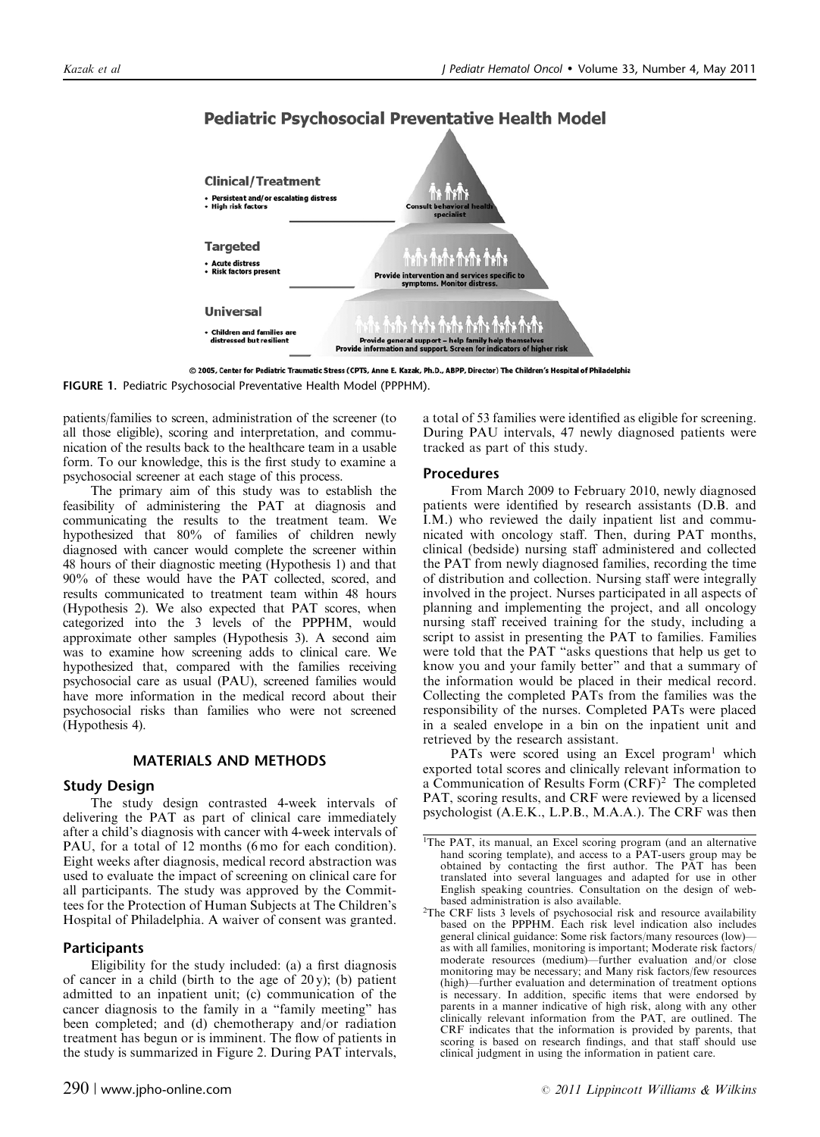

# **Pediatric Psychosocial Preventative Health Model**

© 2005, Center for Pediatric Traumatic Stress (CPTS, Anne E. Kazak, Ph.D., ABPP, Director) The Children's Hospital of Philadelphia FIGURE 1. Pediatric Psychosocial Preventative Health Model (PPPHM).

patients/families to screen, administration of the screener (to all those eligible), scoring and interpretation, and communication of the results back to the healthcare team in a usable form. To our knowledge, this is the first study to examine a psychosocial screener at each stage of this process.

The primary aim of this study was to establish the feasibility of administering the PAT at diagnosis and communicating the results to the treatment team. We hypothesized that 80% of families of children newly diagnosed with cancer would complete the screener within 48 hours of their diagnostic meeting (Hypothesis 1) and that 90% of these would have the PAT collected, scored, and results communicated to treatment team within 48 hours (Hypothesis 2). We also expected that PAT scores, when categorized into the 3 levels of the PPPHM, would approximate other samples (Hypothesis 3). A second aim was to examine how screening adds to clinical care. We hypothesized that, compared with the families receiving psychosocial care as usual (PAU), screened families would have more information in the medical record about their psychosocial risks than families who were not screened (Hypothesis 4).

# MATERIALS AND METHODS

# Study Design

The study design contrasted 4-week intervals of delivering the PAT as part of clinical care immediately after a child's diagnosis with cancer with 4-week intervals of PAU, for a total of 12 months (6 mo for each condition). Eight weeks after diagnosis, medical record abstraction was used to evaluate the impact of screening on clinical care for all participants. The study was approved by the Committees for the Protection of Human Subjects at The Children's Hospital of Philadelphia. A waiver of consent was granted.

# **Participants**

Eligibility for the study included: (a) a first diagnosis of cancer in a child (birth to the age of  $20y$ ); (b) patient admitted to an inpatient unit; (c) communication of the cancer diagnosis to the family in a "family meeting" has been completed; and (d) chemotherapy and/or radiation treatment has begun or is imminent. The flow of patients in the study is summarized in Figure 2. During PAT intervals,

a total of 53 families were identified as eligible for screening. During PAU intervals, 47 newly diagnosed patients were tracked as part of this study.

# Procedures

From March 2009 to February 2010, newly diagnosed patients were identified by research assistants (D.B. and I.M.) who reviewed the daily inpatient list and communicated with oncology staff. Then, during PAT months, clinical (bedside) nursing staff administered and collected the PAT from newly diagnosed families, recording the time of distribution and collection. Nursing staff were integrally involved in the project. Nurses participated in all aspects of planning and implementing the project, and all oncology nursing staff received training for the study, including a script to assist in presenting the PAT to families. Families were told that the PAT "asks questions that help us get to know you and your family better" and that a summary of the information would be placed in their medical record. Collecting the completed PATs from the families was the responsibility of the nurses. Completed PATs were placed in a sealed envelope in a bin on the inpatient unit and retrieved by the research assistant.

PATs were scored using an Excel program<sup>1</sup> which exported total scores and clinically relevant information to a Communication of Results Form  $(CRF)^2$  The completed PAT, scoring results, and CRF were reviewed by a licensed psychologist (A.E.K., L.P.B., M.A.A.). The CRF was then

<sup>&</sup>lt;sup>1</sup>The PAT, its manual, an Excel scoring program (and an alternative hand scoring template), and access to a PAT-users group may be obtained by contacting the first author. The PAT has been translated into several languages and adapted for use in other English speaking countries. Consultation on the design of webbased administration is also available.

<sup>&</sup>lt;sup>2</sup>The CRF lists 3 levels of psychosocial risk and resource availability based on the PPPHM. Each risk level indication also includes general clinical guidance: Some risk factors/many resources (low) as with all families, monitoring is important; Moderate risk factors/ moderate resources (medium)—further evaluation and/or close monitoring may be necessary; and Many risk factors/few resources (high)—further evaluation and determination of treatment options is necessary. In addition, specific items that were endorsed by parents in a manner indicative of high risk, along with any other clinically relevant information from the PAT, are outlined. The CRF indicates that the information is provided by parents, that scoring is based on research findings, and that staff should use clinical judgment in using the information in patient care.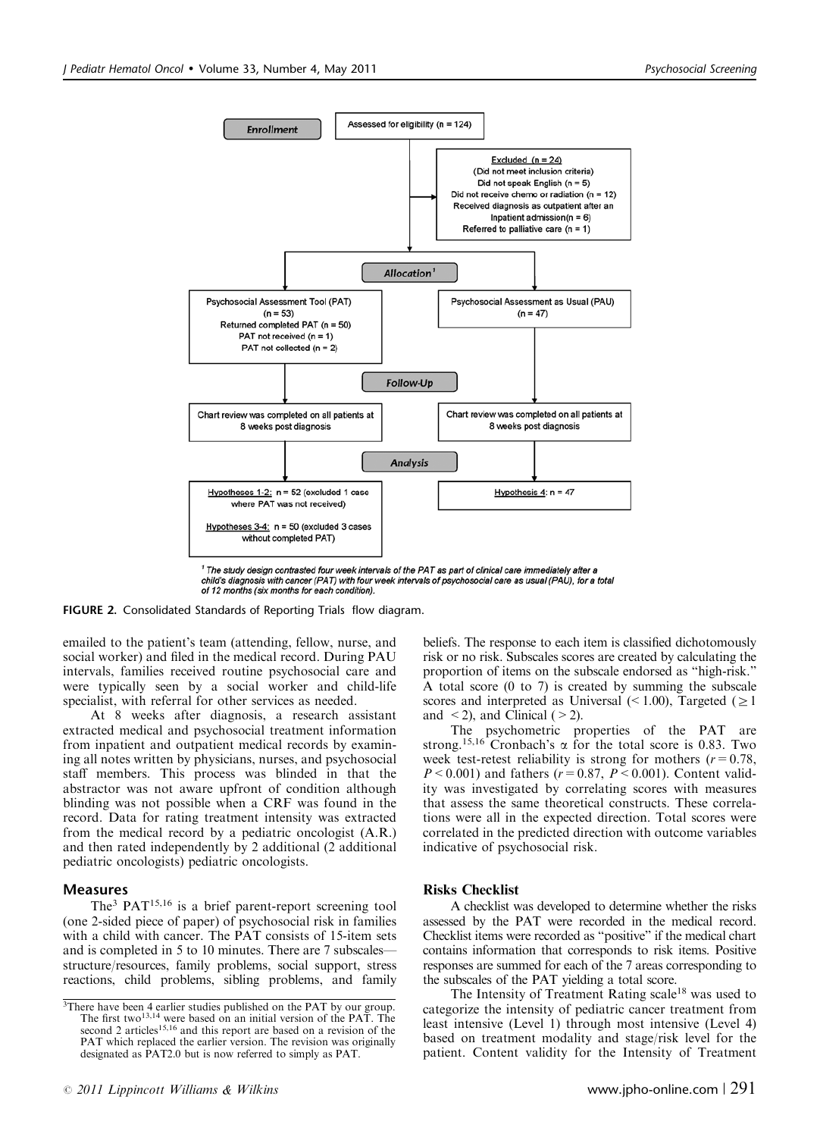

child's diagnosis with cancer (PAT) with four week intervals of psychosocial care as usual (PAU), for a total of 12 months (six months for each condition).

FIGURE 2. Consolidated Standards of Reporting Trials flow diagram.

emailed to the patient's team (attending, fellow, nurse, and social worker) and filed in the medical record. During PAU intervals, families received routine psychosocial care and were typically seen by a social worker and child-life specialist, with referral for other services as needed.

At 8 weeks after diagnosis, a research assistant extracted medical and psychosocial treatment information from inpatient and outpatient medical records by examining all notes written by physicians, nurses, and psychosocial staff members. This process was blinded in that the abstractor was not aware upfront of condition although blinding was not possible when a CRF was found in the record. Data for rating treatment intensity was extracted from the medical record by a pediatric oncologist (A.R.) and then rated independently by 2 additional (2 additional pediatric oncologists) pediatric oncologists.

#### Measures

The<sup>3</sup> PAT<sup>15,16</sup> is a brief parent-report screening tool (one 2-sided piece of paper) of psychosocial risk in families with a child with cancer. The PAT consists of 15-item sets and is completed in 5 to 10 minutes. There are 7 subscales structure/resources, family problems, social support, stress reactions, child problems, sibling problems, and family

beliefs. The response to each item is classified dichotomously risk or no risk. Subscales scores are created by calculating the proportion of items on the subscale endorsed as "high-risk." A total score (0 to 7) is created by summing the subscale scores and interpreted as Universal (<1.00), Targeted ( $\geq$ 1 and  $\leq$  2), and Clinical ( $\geq$ 2).

The psychometric properties of the PAT are strong.<sup>15,16</sup> Cronbach's  $\alpha$  for the total score is 0.83. Two week test-retest reliability is strong for mothers  $(r=0.78,$  $P < 0.001$ ) and fathers ( $r = 0.87$ ,  $P < 0.001$ ). Content validity was investigated by correlating scores with measures that assess the same theoretical constructs. These correlations were all in the expected direction. Total scores were correlated in the predicted direction with outcome variables indicative of psychosocial risk.

#### Risks Checklist

A checklist was developed to determine whether the risks assessed by the PAT were recorded in the medical record. Checklist items were recorded as "positive" if the medical chart contains information that corresponds to risk items. Positive responses are summed for each of the 7 areas corresponding to the subscales of the PAT yielding a total score.

The Intensity of Treatment Rating scale<sup>18</sup> was used to categorize the intensity of pediatric cancer treatment from least intensive (Level 1) through most intensive (Level 4) based on treatment modality and stage/risk level for the patient. Content validity for the Intensity of Treatment

<sup>&</sup>lt;sup>3</sup>There have been 4 earlier studies published on the PAT by our group. The first two<sup>13,14</sup> were based on an initial version of the PAT. The second 2 articles<sup>15,16</sup> and this report are based on a revision of the PAT which replaced the earlier version. The revision was originally designated as PAT2.0 but is now referred to simply as PAT.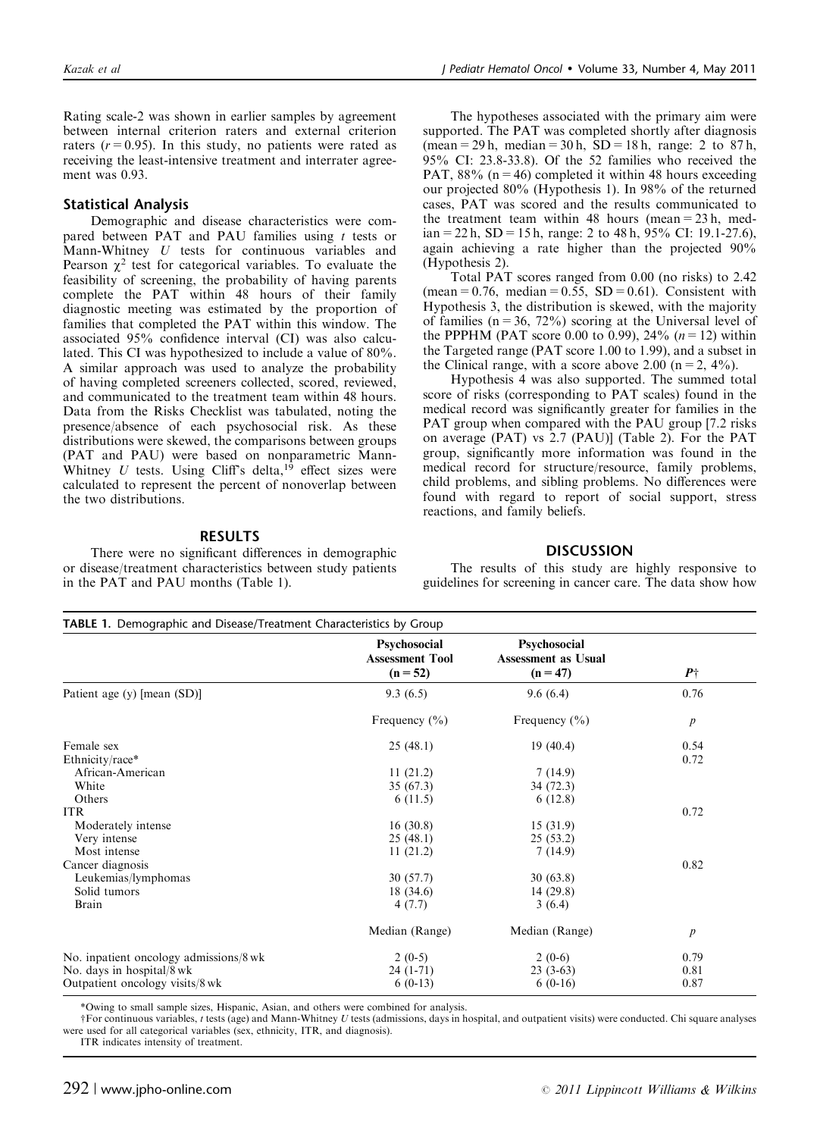Rating scale-2 was shown in earlier samples by agreement between internal criterion raters and external criterion raters  $(r=0.95)$ . In this study, no patients were rated as receiving the least-intensive treatment and interrater agreement was 0.93.

## Statistical Analysis

Demographic and disease characteristics were compared between PAT and PAU families using  $t$  tests or Mann-Whitney U tests for continuous variables and Pearson  $\chi^2$  test for categorical variables. To evaluate the feasibility of screening, the probability of having parents complete the PAT within 48 hours of their family diagnostic meeting was estimated by the proportion of families that completed the PAT within this window. The associated 95% confidence interval (CI) was also calculated. This CI was hypothesized to include a value of 80%. A similar approach was used to analyze the probability of having completed screeners collected, scored, reviewed, and communicated to the treatment team within 48 hours. Data from the Risks Checklist was tabulated, noting the presence/absence of each psychosocial risk. As these distributions were skewed, the comparisons between groups (PAT and PAU) were based on nonparametric Mann-Whitney  $U$  tests. Using Cliff's delta,<sup>19</sup> effect sizes were calculated to represent the percent of nonoverlap between the two distributions.

## RESULTS

There were no significant differences in demographic or disease/treatment characteristics between study patients in the PAT and PAU months (Table 1).

The hypotheses associated with the primary aim were supported. The PAT was completed shortly after diagnosis  $(\text{mean}=29 \text{ h}, \text{ median}=30 \text{ h}, \text{ SD}=18 \text{ h}, \text{ range: 2 to } 87 \text{ h},$ 95% CI: 23.8-33.8). Of the 52 families who received the PAT,  $88\%$  (n = 46) completed it within 48 hours exceeding our projected 80% (Hypothesis 1). In 98% of the returned cases, PAT was scored and the results communicated to the treatment team within 48 hours (mean =  $23$  h, med $ian = 22 h$ ,  $SD = 15 h$ , range: 2 to 48 h, 95% CI: 19.1-27.6), again achieving a rate higher than the projected 90% (Hypothesis 2).

Total PAT scores ranged from 0.00 (no risks) to 2.42  $(mean = 0.76, median = 0.55, SD = 0.61)$ . Consistent with Hypothesis 3, the distribution is skewed, with the majority of families ( $n=36$ , 72%) scoring at the Universal level of the PPPHM (PAT score 0.00 to 0.99), 24% ( $n = 12$ ) within the Targeted range (PAT score 1.00 to 1.99), and a subset in the Clinical range, with a score above 2.00 ( $n = 2$ , 4%).

Hypothesis 4 was also supported. The summed total score of risks (corresponding to PAT scales) found in the medical record was significantly greater for families in the PAT group when compared with the PAU group [7.2 risks on average (PAT) vs 2.7 (PAU)] (Table 2). For the PAT group, significantly more information was found in the medical record for structure/resource, family problems, child problems, and sibling problems. No differences were found with regard to report of social support, stress reactions, and family beliefs.

### **DISCUSSION**

The results of this study are highly responsive to guidelines for screening in cancer care. The data show how

|                                        | Psychosocial<br><b>Assessment Tool</b><br>$(n = 52)$ | Psychosocial<br><b>Assessment as Usual</b><br>$(n = 47)$ | $P_{\perp}$      |  |
|----------------------------------------|------------------------------------------------------|----------------------------------------------------------|------------------|--|
| Patient age (y) [mean (SD)]            | 9.3(6.5)                                             | 9.6(6.4)                                                 | 0.76             |  |
|                                        | Frequency $(\% )$                                    | Frequency $(\% )$                                        | $\boldsymbol{p}$ |  |
| Female sex                             | 25(48.1)                                             | 19(40.4)                                                 | 0.54             |  |
| Ethnicity/race*                        |                                                      |                                                          | 0.72             |  |
| African-American                       | 11(21.2)                                             | 7(14.9)                                                  |                  |  |
| White                                  | 35(67.3)                                             | 34 (72.3)                                                |                  |  |
| Others                                 | 6(11.5)                                              | 6(12.8)                                                  |                  |  |
| <b>ITR</b>                             |                                                      |                                                          | 0.72             |  |
| Moderately intense                     | 16(30.8)                                             | 15(31.9)                                                 |                  |  |
| Very intense                           | 25(48.1)                                             | 25(53.2)                                                 |                  |  |
| Most intense                           | 11(21.2)                                             | 7(14.9)                                                  |                  |  |
| Cancer diagnosis                       |                                                      |                                                          | 0.82             |  |
| Leukemias/lymphomas                    | 30(57.7)                                             | 30(63.8)                                                 |                  |  |
| Solid tumors                           | 18 (34.6)                                            | 14(29.8)                                                 |                  |  |
| <b>Brain</b>                           | 4(7.7)                                               | 3(6.4)                                                   |                  |  |
|                                        | Median (Range)                                       | Median (Range)                                           | $\boldsymbol{p}$ |  |
| No. inpatient oncology admissions/8 wk | $2(0-5)$                                             | $2(0-6)$                                                 | 0.79             |  |
| No. days in hospital/8 wk              | $24(1-71)$                                           | $23(3-63)$                                               | 0.81             |  |
| Outpatient oncology visits/8 wk        | $6(0-13)$                                            | $6(0-16)$                                                | 0.87             |  |

\*Owing to small sample sizes, Hispanic, Asian, and others were combined for analysis.

†For continuous variables, t tests (age) and Mann-Whitney U tests (admissions, days in hospital, and outpatient visits) were conducted. Chi square analyses were used for all categorical variables (sex, ethnicity, ITR, and diagnosis).

ITR indicates intensity of treatment.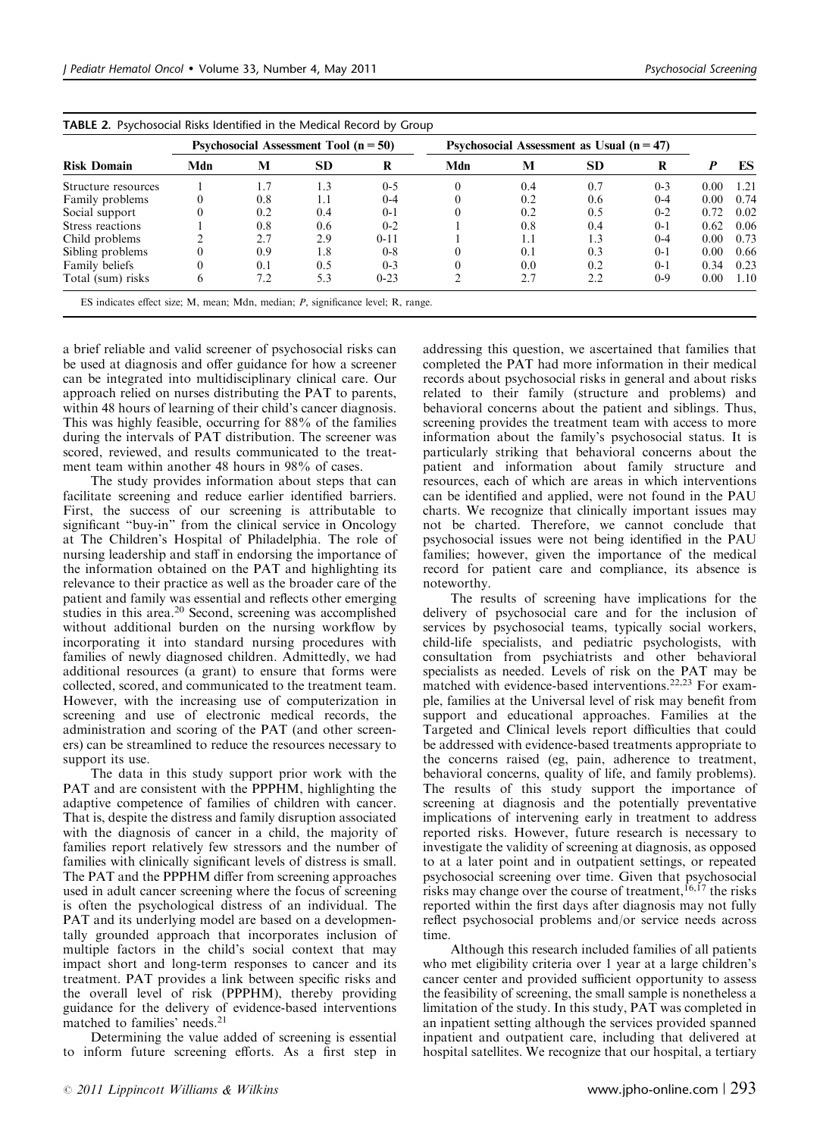| <b>Risk Domain</b>  | Psychosocial Assessment Tool $(n = 50)$ |     |           |          | Psychosocial Assessment as Usual $(n = 47)$ |     |           |         |      |      |
|---------------------|-----------------------------------------|-----|-----------|----------|---------------------------------------------|-----|-----------|---------|------|------|
|                     | Mdn                                     | M   | <b>SD</b> | R        | Mdn                                         | M   | <b>SD</b> | R       | P    | ES   |
| Structure resources |                                         |     | 1.3       | $0 - 5$  | $\theta$                                    | 0.4 | 0.7       | $0-3$   | 0.00 | 1.21 |
| Family problems     |                                         | 0.8 | 1.1       | $0 - 4$  |                                             | 0.2 | 0.6       | $0 - 4$ | 0.00 | 0.74 |
| Social support      |                                         | 0.2 | 0.4       | $0-1$    | $\theta$                                    | 0.2 | 0.5       | $0 - 2$ | 0.72 | 0.02 |
| Stress reactions    |                                         | 0.8 | 0.6       | $0 - 2$  |                                             | 0.8 | 0.4       | $0 - 1$ | 0.62 | 0.06 |
| Child problems      |                                         | 2.7 | 2.9       | $0 - 11$ |                                             | 1.1 | 1.3       | $0 - 4$ | 0.00 | 0.73 |
| Sibling problems    |                                         | 0.9 | 1.8       | $0 - 8$  | $^{(1)}$                                    | 0.1 | 0.3       | $0 - 1$ | 0.00 | 0.66 |
| Family beliefs      |                                         | 0.1 | 0.5       | $0 - 3$  |                                             | 0.0 | 0.2       | $0 - 1$ | 0.34 | 0.23 |
| Total (sum) risks   |                                         | 7.2 | 5.3       | $0 - 23$ |                                             | 2.7 | 2.2       | $0 - 9$ | 0.00 | 1.10 |

a brief reliable and valid screener of psychosocial risks can be used at diagnosis and offer guidance for how a screener can be integrated into multidisciplinary clinical care. Our approach relied on nurses distributing the PAT to parents, within 48 hours of learning of their child's cancer diagnosis. This was highly feasible, occurring for 88% of the families during the intervals of PAT distribution. The screener was scored, reviewed, and results communicated to the treatment team within another 48 hours in 98% of cases.

The study provides information about steps that can facilitate screening and reduce earlier identified barriers. First, the success of our screening is attributable to significant "buy-in" from the clinical service in Oncology at The Children's Hospital of Philadelphia. The role of nursing leadership and staff in endorsing the importance of the information obtained on the PAT and highlighting its relevance to their practice as well as the broader care of the patient and family was essential and reflects other emerging studies in this area.<sup>20</sup> Second, screening was accomplished without additional burden on the nursing workflow by incorporating it into standard nursing procedures with families of newly diagnosed children. Admittedly, we had additional resources (a grant) to ensure that forms were collected, scored, and communicated to the treatment team. However, with the increasing use of computerization in screening and use of electronic medical records, the administration and scoring of the PAT (and other screeners) can be streamlined to reduce the resources necessary to support its use.

The data in this study support prior work with the PAT and are consistent with the PPPHM, highlighting the adaptive competence of families of children with cancer. That is, despite the distress and family disruption associated with the diagnosis of cancer in a child, the majority of families report relatively few stressors and the number of families with clinically significant levels of distress is small. The PAT and the PPPHM differ from screening approaches used in adult cancer screening where the focus of screening is often the psychological distress of an individual. The PAT and its underlying model are based on a developmentally grounded approach that incorporates inclusion of multiple factors in the child's social context that may impact short and long-term responses to cancer and its treatment. PAT provides a link between specific risks and the overall level of risk (PPPHM), thereby providing guidance for the delivery of evidence-based interventions matched to families' needs.21

Determining the value added of screening is essential to inform future screening efforts. As a first step in

addressing this question, we ascertained that families that completed the PAT had more information in their medical records about psychosocial risks in general and about risks related to their family (structure and problems) and behavioral concerns about the patient and siblings. Thus, screening provides the treatment team with access to more information about the family's psychosocial status. It is particularly striking that behavioral concerns about the patient and information about family structure and resources, each of which are areas in which interventions can be identified and applied, were not found in the PAU charts. We recognize that clinically important issues may not be charted. Therefore, we cannot conclude that psychosocial issues were not being identified in the PAU families; however, given the importance of the medical record for patient care and compliance, its absence is noteworthy.

The results of screening have implications for the delivery of psychosocial care and for the inclusion of services by psychosocial teams, typically social workers, child-life specialists, and pediatric psychologists, with consultation from psychiatrists and other behavioral specialists as needed. Levels of risk on the PAT may be matched with evidence-based interventions.<sup>22,23</sup> For example, families at the Universal level of risk may benefit from support and educational approaches. Families at the Targeted and Clinical levels report difficulties that could be addressed with evidence-based treatments appropriate to the concerns raised (eg, pain, adherence to treatment, behavioral concerns, quality of life, and family problems). The results of this study support the importance of screening at diagnosis and the potentially preventative implications of intervening early in treatment to address reported risks. However, future research is necessary to investigate the validity of screening at diagnosis, as opposed to at a later point and in outpatient settings, or repeated psychosocial screening over time. Given that psychosocial risks may change over the course of treatment,  $^{16,17}$  the risks reported within the first days after diagnosis may not fully reflect psychosocial problems and/or service needs across time

Although this research included families of all patients who met eligibility criteria over 1 year at a large children's cancer center and provided sufficient opportunity to assess the feasibility of screening, the small sample is nonetheless a limitation of the study. In this study, PAT was completed in an inpatient setting although the services provided spanned inpatient and outpatient care, including that delivered at hospital satellites. We recognize that our hospital, a tertiary